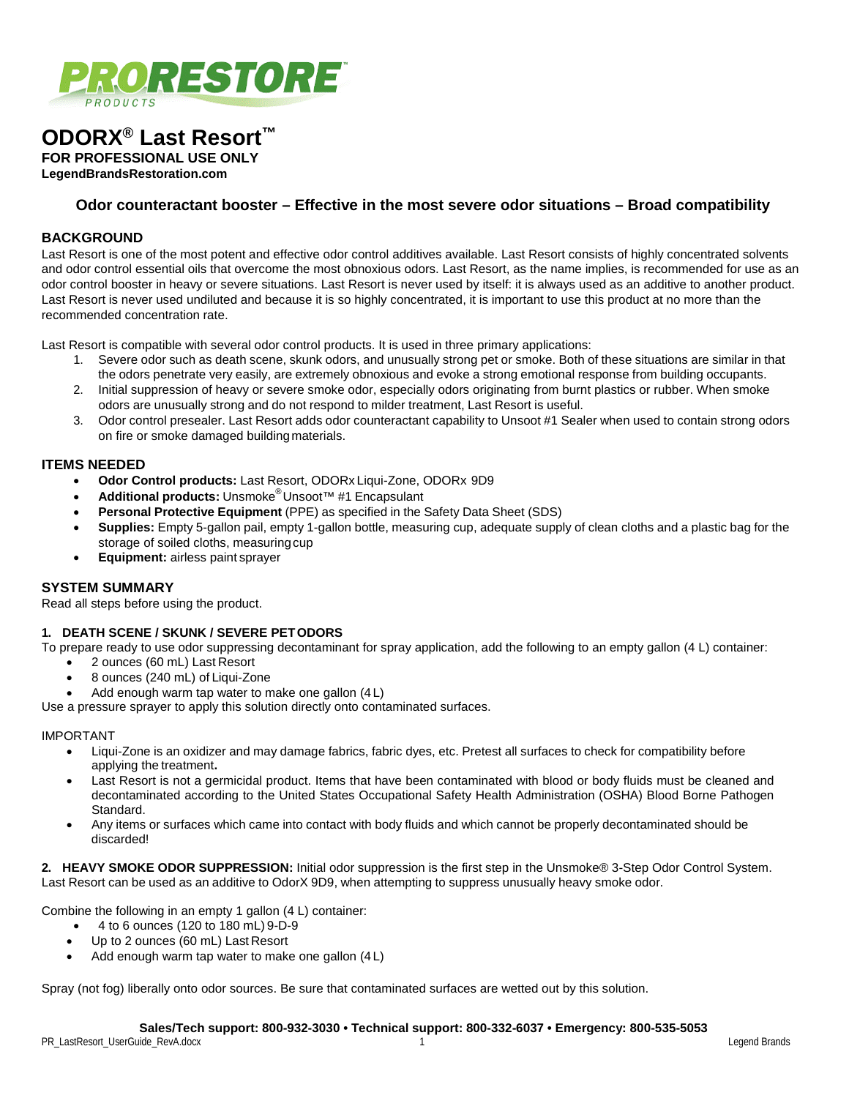

# **ODORX® Last Resort™**

**FOR PROFESSIONAL USE ONLY**

**LegendBrandsRestoration.com**

# **Odor counteractant booster – Effective in the most severe odor situations – Broad compatibility**

## **BACKGROUND**

Last Resort is one of the most potent and effective odor control additives available. Last Resort consists of highly concentrated solvents and odor control essential oils that overcome the most obnoxious odors. Last Resort, as the name implies, is recommended for use as an odor control booster in heavy or severe situations. Last Resort is never used by itself: it is always used as an additive to another product. Last Resort is never used undiluted and because it is so highly concentrated, it is important to use this product at no more than the recommended concentration rate.

Last Resort is compatible with several odor control products. It is used in three primary applications:

- 1. Severe odor such as death scene, skunk odors, and unusually strong pet or smoke. Both of these situations are similar in that the odors penetrate very easily, are extremely obnoxious and evoke a strong emotional response from building occupants.
- 2. Initial suppression of heavy or severe smoke odor, especially odors originating from burnt plastics or rubber. When smoke odors are unusually strong and do not respond to milder treatment, Last Resort is useful.
- 3. Odor control presealer. Last Resort adds odor counteractant capability to Unsoot #1 Sealer when used to contain strong odors on fire or smoke damaged buildingmaterials.

## **ITEMS NEEDED**

- **Odor Control products:** Last Resort, ODORx Liqui-Zone, ODORx 9D9
- **Additional products:** Unsmoke® Unsoot™ #1 Encapsulant
- **Personal Protective Equipment** (PPE) as specified in the Safety Data Sheet (SDS)
- **Supplies:** Empty 5-gallon pail, empty 1-gallon bottle, measuring cup, adequate supply of clean cloths and a plastic bag for the storage of soiled cloths, measuringcup
- **Equipment:** airless paint sprayer

## **SYSTEM SUMMARY**

Read all steps before using the product.

## **1. DEATH SCENE / SKUNK / SEVERE PETODORS**

To prepare ready to use odor suppressing decontaminant for spray application, add the following to an empty gallon (4 L) container:

- 2 ounces (60 mL) Last Resort
- 8 ounces (240 mL) of Liqui-Zone
- Add enough warm tap water to make one gallon (4L)

Use a pressure sprayer to apply this solution directly onto contaminated surfaces.

#### IMPORTANT

- Liqui-Zone is an oxidizer and may damage fabrics, fabric dyes, etc. Pretest all surfaces to check for compatibility before applying the treatment**.**
- Last Resort is not a germicidal product. Items that have been contaminated with blood or body fluids must be cleaned and decontaminated according to the United States Occupational Safety Health Administration (OSHA) Blood Borne Pathogen Standard.
- Any items or surfaces which came into contact with body fluids and which cannot be properly decontaminated should be discarded!

**2. HEAVY SMOKE ODOR SUPPRESSION:** Initial odor suppression is the first step in the Unsmoke® 3-Step Odor Control System. Last Resort can be used as an additive to OdorX 9D9, when attempting to suppress unusually heavy smoke odor.

Combine the following in an empty 1 gallon (4 L) container:

- 4 to 6 ounces (120 to 180 mL) 9-D-9
- Up to 2 ounces (60 mL) Last Resort
- Add enough warm tap water to make one gallon (4L)

Spray (not fog) liberally onto odor sources. Be sure that contaminated surfaces are wetted out by this solution.

#### **Sales/Tech support: 800-932-3030 • Technical support: 800-332-6037 • Emergency: 800-535-5053**